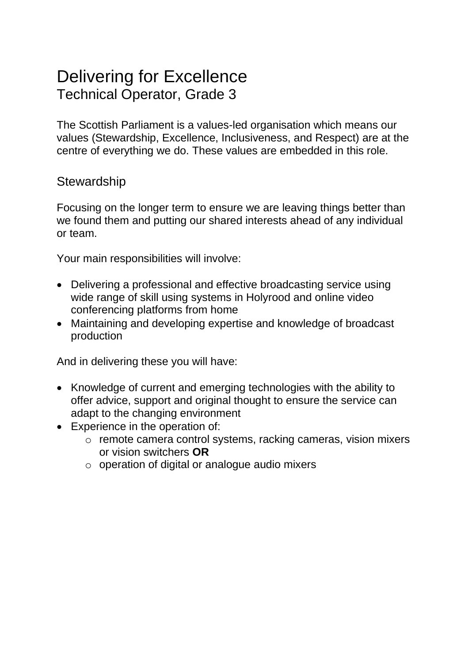# Delivering for Excellence Technical Operator, Grade 3

The Scottish Parliament is a values-led organisation which means our values (Stewardship, Excellence, Inclusiveness, and Respect) are at the centre of everything we do. These values are embedded in this role.

### **Stewardship**

Focusing on the longer term to ensure we are leaving things better than we found them and putting our shared interests ahead of any individual or team.

Your main responsibilities will involve:

- Delivering a professional and effective broadcasting service using wide range of skill using systems in Holyrood and online video conferencing platforms from home
- Maintaining and developing expertise and knowledge of broadcast production

- Knowledge of current and emerging technologies with the ability to offer advice, support and original thought to ensure the service can adapt to the changing environment
- Experience in the operation of:
	- o remote camera control systems, racking cameras, vision mixers or vision switchers **OR**
	- o operation of digital or analogue audio mixers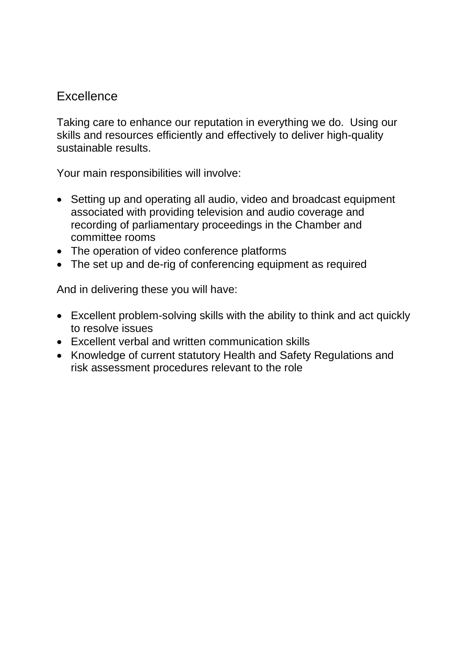## Excellence

Taking care to enhance our reputation in everything we do. Using our skills and resources efficiently and effectively to deliver high-quality sustainable results.

Your main responsibilities will involve:

- Setting up and operating all audio, video and broadcast equipment associated with providing television and audio coverage and recording of parliamentary proceedings in the Chamber and committee rooms
- The operation of video conference platforms
- The set up and de-rig of conferencing equipment as required

- Excellent problem-solving skills with the ability to think and act quickly to resolve issues
- Excellent verbal and written communication skills
- Knowledge of current statutory Health and Safety Regulations and risk assessment procedures relevant to the role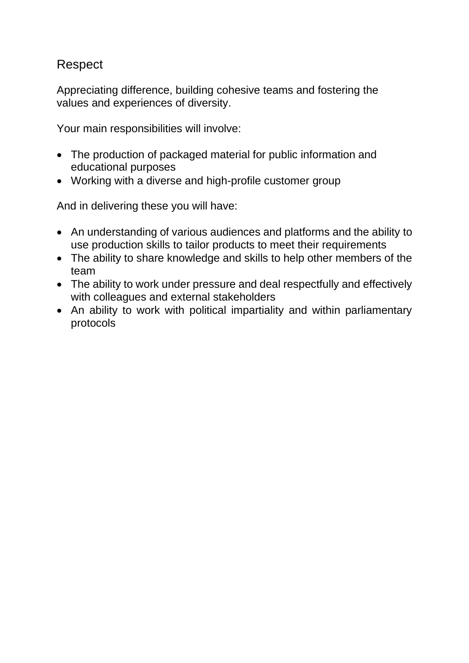## Respect

Appreciating difference, building cohesive teams and fostering the values and experiences of diversity.

Your main responsibilities will involve:

- The production of packaged material for public information and educational purposes
- Working with a diverse and high-profile customer group

- An understanding of various audiences and platforms and the ability to use production skills to tailor products to meet their requirements
- The ability to share knowledge and skills to help other members of the team
- The ability to work under pressure and deal respectfully and effectively with colleagues and external stakeholders
- An ability to work with political impartiality and within parliamentary protocols